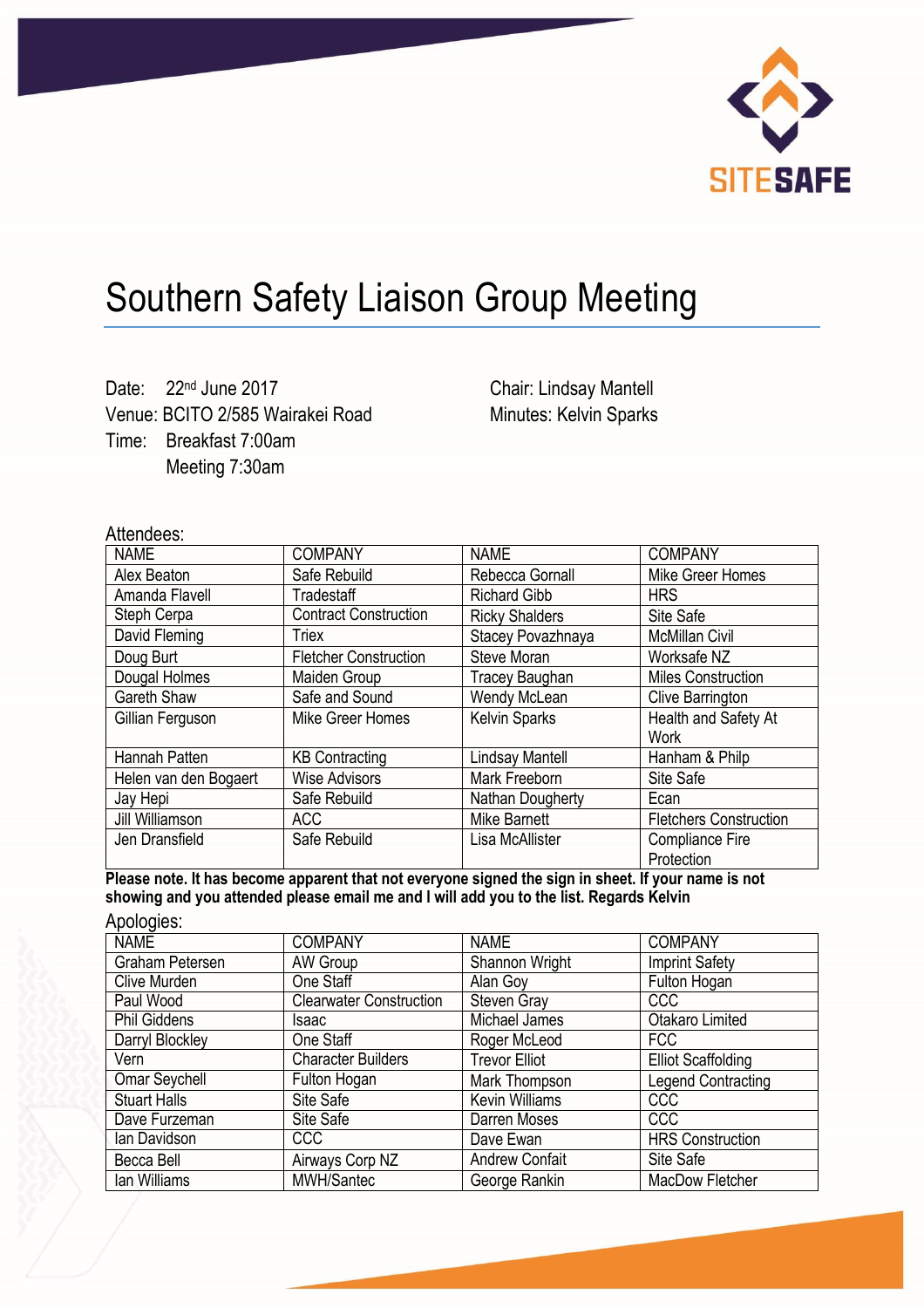

## Southern Safety Liaison Group Meeting

Date: 22<sup>nd</sup> June 2017 Venue: BCITO 2/585 Wairakei Road Time: Breakfast 7:00am Meeting 7:30am

Chair: Lindsay Mantell Minutes: Kelvin Sparks

## Attendees:

| <b>NAME</b>           | <b>COMPANY</b>               | <b>NAME</b>           | <b>COMPANY</b>                |
|-----------------------|------------------------------|-----------------------|-------------------------------|
| Alex Beaton           | Safe Rebuild                 | Rebecca Gornall       | Mike Greer Homes              |
| Amanda Flavell        | <b>Tradestaff</b>            | <b>Richard Gibb</b>   | <b>HRS</b>                    |
| Steph Cerpa           | <b>Contract Construction</b> | <b>Ricky Shalders</b> | Site Safe                     |
| David Fleming         | Triex                        | Stacey Povazhnaya     | <b>McMillan Civil</b>         |
| Doug Burt             | <b>Fletcher Construction</b> | Steve Moran           | Worksafe NZ                   |
| Dougal Holmes         | Maiden Group                 | <b>Tracey Baughan</b> | <b>Miles Construction</b>     |
| Gareth Shaw           | Safe and Sound               | Wendy McLean          | <b>Clive Barrington</b>       |
| Gillian Ferguson      | Mike Greer Homes             | <b>Kelvin Sparks</b>  | Health and Safety At          |
|                       |                              |                       | <b>Work</b>                   |
| Hannah Patten         | <b>KB Contracting</b>        | Lindsay Mantell       | Hanham & Philp                |
| Helen van den Bogaert | <b>Wise Advisors</b>         | Mark Freeborn         | Site Safe                     |
| Jay Hepi              | Safe Rebuild                 | Nathan Dougherty      | Ecan                          |
| Jill Williamson       | ACC                          | Mike Barnett          | <b>Fletchers Construction</b> |
| Jen Dransfield        | Safe Rebuild                 | Lisa McAllister       | <b>Compliance Fire</b>        |
|                       |                              |                       | Protection                    |

**Please note. It has become apparent that not everyone signed the sign in sheet. If your name is not showing and you attended please email me and I will add you to the list. Regards Kelvin**  Apologica:

| Apologies.          |                                |                       |                           |
|---------------------|--------------------------------|-----------------------|---------------------------|
| <b>NAME</b>         | <b>COMPANY</b>                 | <b>NAME</b>           | <b>COMPANY</b>            |
| Graham Petersen     | AW Group                       | Shannon Wright        | <b>Imprint Safety</b>     |
| Clive Murden        | One Staff                      | Alan Goy              | Fulton Hogan              |
| Paul Wood           | <b>Clearwater Construction</b> | <b>Steven Gray</b>    | <b>CCC</b>                |
| <b>Phil Giddens</b> | Isaac                          | Michael James         | Otakaro Limited           |
| Darryl Blockley     | One Staff                      | Roger McLeod          | <b>FCC</b>                |
| Vern                | <b>Character Builders</b>      | <b>Trevor Elliot</b>  | <b>Elliot Scaffolding</b> |
| Omar Seychell       | Fulton Hogan                   | Mark Thompson         | <b>Legend Contracting</b> |
| <b>Stuart Halls</b> | Site Safe                      | <b>Kevin Williams</b> | <b>CCC</b>                |
| Dave Furzeman       | Site Safe                      | Darren Moses          | <b>CCC</b>                |
| lan Davidson        | <b>CCC</b>                     | Dave Ewan             | <b>HRS Construction</b>   |
| Becca Bell          | Airways Corp NZ                | <b>Andrew Confait</b> | Site Safe                 |
| lan Williams        | MWH/Santec                     | George Rankin         | MacDow Fletcher           |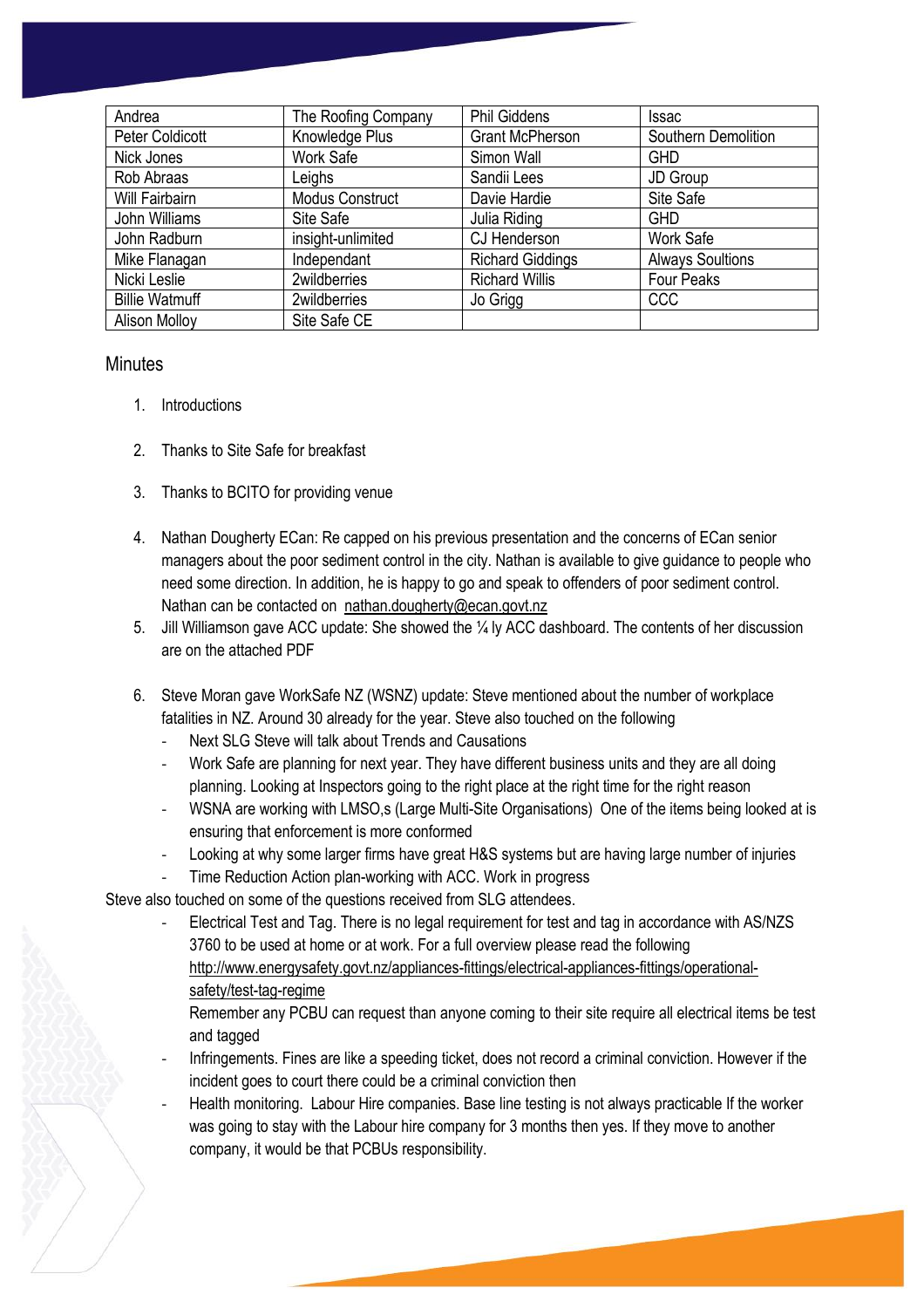| Andrea                | The Roofing Company    | <b>Phil Giddens</b>     | <b>Issac</b>            |
|-----------------------|------------------------|-------------------------|-------------------------|
| Peter Coldicott       | Knowledge Plus         | <b>Grant McPherson</b>  | Southern Demolition     |
| Nick Jones            | Work Safe              | Simon Wall              | <b>GHD</b>              |
| Rob Abraas            | Leighs                 | Sandii Lees             | JD Group                |
| Will Fairbairn        | <b>Modus Construct</b> | Davie Hardie            | Site Safe               |
| John Williams         | Site Safe              | Julia Riding            | <b>GHD</b>              |
| John Radburn          | insight-unlimited      | CJ Henderson            | Work Safe               |
| Mike Flanagan         | Independant            | <b>Richard Giddings</b> | <b>Always Soultions</b> |
| Nicki Leslie          | 2wildberries           | <b>Richard Willis</b>   | <b>Four Peaks</b>       |
| <b>Billie Watmuff</b> | 2wildberries           | Jo Grigg                | <b>CCC</b>              |
| <b>Alison Mollov</b>  | Site Safe CE           |                         |                         |

## **Minutes**

- 1. Introductions
- 2. Thanks to Site Safe for breakfast
- 3. Thanks to BCITO for providing venue
- 4. Nathan Dougherty ECan: Re capped on his previous presentation and the concerns of ECan senior managers about the poor sediment control in the city. Nathan is available to give guidance to people who need some direction. In addition, he is happy to go and speak to offenders of poor sediment control. Nathan can be contacted on [nathan.dougherty@ecan.govt.nz](mailto:nathan.dougherty@ecan.govt.nz)
- 5. Jill Williamson gave ACC update: She showed the ¼ ly ACC dashboard. The contents of her discussion are on the attached PDF
- 6. Steve Moran gave WorkSafe NZ (WSNZ) update: Steve mentioned about the number of workplace fatalities in NZ. Around 30 already for the year. Steve also touched on the following
	- Next SLG Steve will talk about Trends and Causations
	- Work Safe are planning for next year. They have different business units and they are all doing planning. Looking at Inspectors going to the right place at the right time for the right reason
	- WSNA are working with LMSO,s (Large Multi-Site Organisations) One of the items being looked at is ensuring that enforcement is more conformed
	- Looking at why some larger firms have great H&S systems but are having large number of injuries
	- Time Reduction Action plan-working with ACC. Work in progress

Steve also touched on some of the questions received from SLG attendees.

Electrical Test and Tag. There is no legal requirement for test and tag in accordance with AS/NZS 3760 to be used at home or at work. For a full overview please read the following [http://www.energysafety.govt.nz/appliances-fittings/electrical-appliances-fittings/operational](http://www.energysafety.govt.nz/appliances-fittings/electrical-appliances-fittings/operational-safety/test-tag-regime)[safety/test-tag-regime](http://www.energysafety.govt.nz/appliances-fittings/electrical-appliances-fittings/operational-safety/test-tag-regime)

Remember any PCBU can request than anyone coming to their site require all electrical items be test and tagged

- Infringements. Fines are like a speeding ticket, does not record a criminal conviction. However if the incident goes to court there could be a criminal conviction then
- Health monitoring. Labour Hire companies. Base line testing is not always practicable If the worker was going to stay with the Labour hire company for 3 months then yes. If they move to another company, it would be that PCBUs responsibility.